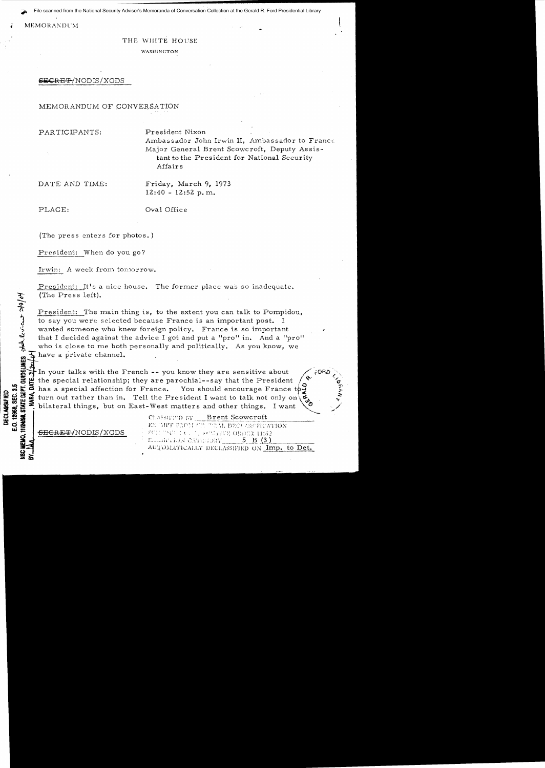File scanned from the National Security Adviser's Memoranda of Conversation Collection at the Gerald R. Ford Presidential Library

### MEMORANDUM

### THE WHITE HOUSE

WASIIINGTON

## ~CRE'¥!NODIS/XGDS

### MEMORANDUM OF CONVERSATION

PARTICIPANTS: President Nixon

Ambassador John Irwin II, Ambassador to France Major General Brent Scowcroft, Deputy Assistant to the President for National Security Affairs

DATE AND TIME: Friday, March 9, 1973  $12:40 - 12:52$  p.m.

-- *q.* 

**w;:**

y<br>I **ZCD** ~> PLACE:  $Oval \; Of\!i>free$ 

(The press enters for photos. )

President: When do you go?

Irwin: A week from tomorrow.

President: It's a nice house. The former place was so inadequate. (The Press left).

President: The main thing is, to the extent you can talk to Pompidou, to say you were selected because France is an important post. I wanted someone who knew foreign policy. France is so important that I decided against the advice I got and put a "pro" in. And a "pro" who is close to me both personally and politically. As you know, we have a private channel.

In your talks with the French  $-$ - you know they are sensitive about the special relationship; they are parochial--say that the President  $\frac{1}{10}$ :  $\frac{1}{10}$  has a special affection for France. You should encourage France to  $\frac{1}{10}$ <br> $\frac{1}{10}$  turn out rather than in. Tell the President I want to talk not only on <sup>~</sup>fa ~ ! turn out rather than in. Tell the President I want to talk not only on\~, .;: we we turn out rather than in. Tell the President I want to talk not only on  $\frac{2}{3}$ <br>  $\frac{3}{3}$  bilateral things, but on East-West matters and other things. I want  $\frac{3}{3}$ <sup>~</sup>**0""":, •** CU::::'li';~'D J:y \_\_ !?~~nt ..e~:?\_w5:.!~£t \_\_\_\_\_\_\_\_

 $\frac{1}{\sqrt{2}}$   $\frac{\text{SEGRE}}{2}$ /NODIS/XGDS

IMPT FROM GE TEUN, DECUASSIFICATION<br>I THULL C. T., 89 TENE ORDER 11652 Tallah'i KON CATEGORY\_ 5 B (3) AUTOMATICALLY DECLASSIFIED ON Imp. to Det.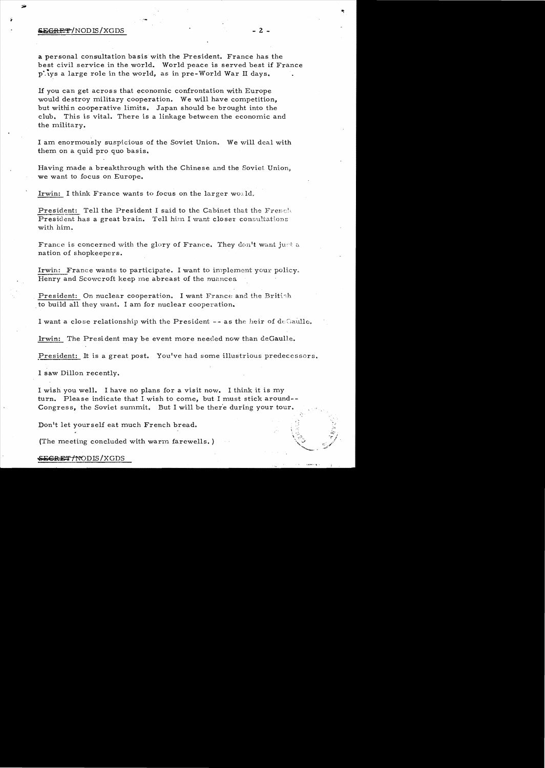# $\frac{SEGRE}{T}$ /NODIS/XGDS - 2 -

a personal consultation basis with the President. France has the best civil service in the world. World peace is served best if France plays a large role in the world, as in pre-World War II days.

If you can get acros s that economic confrontation with Europe would destroy military cooperation. We will have competition, but within cooperative limits. Japan should be brought into the club. This is vital. There is a linkage between the economic and the military.

I am enormously suspicious of the Soviet Union. We will deal with them on a quid pro quo basis.

Having made a breakthrough with the Chinese and the Soviet Union, we want to focus on Europe.

Irwin: I think France wants to focus on the larger world.

President: Tell the President I said to the Cabinet that the French President has a great brain. Tell him I want closer consultations with him.

France is concerned with the glory of France. They don't want just a nation of shopkeepers.

Irwin: France wants to participate. I want to implement your policy. Henry and Scowcroft keep me abreast of the nuances.

President: On nuclear cooperation. I want France and the British to build all they want. I am for nuclear cooperation.

I want a close relationship with the President  $-$  as the heir of decaulle.

Irwin: The President may be event more needed now than deGaulle.

president: It is a great post. You've had some illustrious predecessors.

I saw Dillon recently.

I wish you well. I have no plans for a visit now. I think it is my turn. Please indicate that I wish to come, but I must stick around--Congress, the Soviet summit. But I will be there during your tour.

Donlt let yourself eat much French bread.

(The meeting concluded with warm farewells.)

#### SEGRET/NODIS/XGDS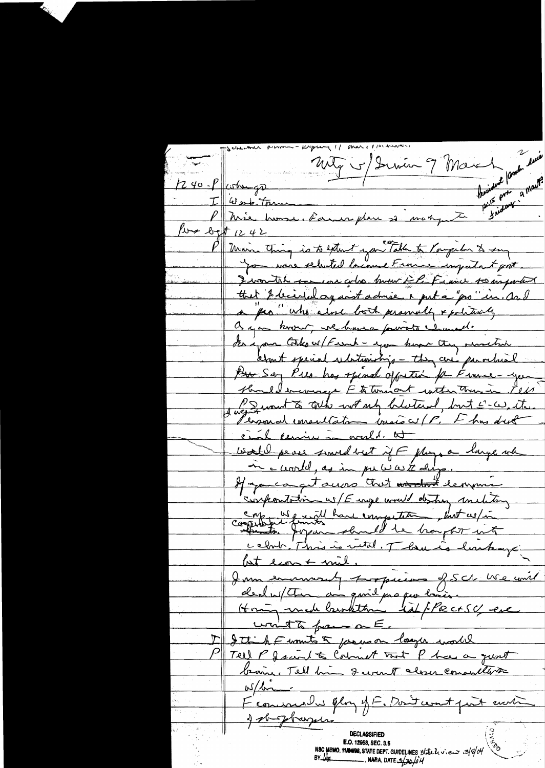Unity of Derwin 9 March 10mbr 10000 mean of a mart?  $240 - 1$  whigh I clerk town P Mèe house, dans place si manguste lung log 12 42 Maine Thing is to extent you Talk to longeiten to sung Swanter to car goto how EP. Figure to inforted that & beided against admire a put a "pro" in and a pro" who alone both personally & politically a you known, we have pureto chancel. Serigan Collector/Funch-you have they senated about special relationship - they are parrelaint Pour Ser Pies has spinal offretion for Finner-yes should encourage Ft townsort with the in Pel sweather to talk not up blatand, but I-w, ite Personal imentation torsions (P. I has dust cial ceniu in avald. at Would peace smed but if F plays a large when If you can get allow that word le mine confrontation w/E enge would destroy making corpubilité finite have empetitie put ces / in celvir. This is with. There is lastrage but lont mil.<br>Jemmesmurat propriere f. S.C. We unit Honing made barokthin til flects y ere won't to france on E. Ittish Funnits & precesor larger world Tell P facial to Colomb Tant P has a just bearing, Tell him I want along consultors  $w/dm$ F'eomenale Glory y F. Dont count part motion got phaper DECLASSIFIED E.O. 12958, SEC. 3.5 NSC MEMO, 11/20108, STATE DEPT. GUIDELINES State levieux 3/8/04  $-$ , NARA, DATE  $\frac{3}{20}$